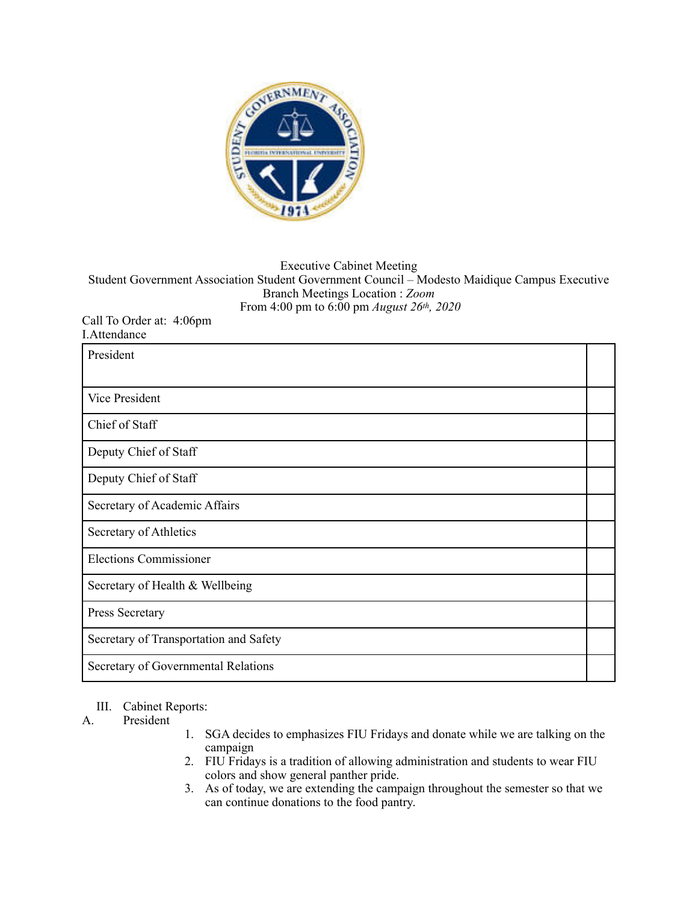

## Executive Cabinet Meeting Student Government Association Student Government Council – Modesto Maidique Campus Executive Branch Meetings Location : *Zoom*  From 4:00 pm to 6:00 pm *August 26th, 2020*

Call To Order at: 4:06pm I.Attendance

| President                              |  |
|----------------------------------------|--|
| Vice President                         |  |
| Chief of Staff                         |  |
| Deputy Chief of Staff                  |  |
| Deputy Chief of Staff                  |  |
| Secretary of Academic Affairs          |  |
| Secretary of Athletics                 |  |
| <b>Elections Commissioner</b>          |  |
| Secretary of Health & Wellbeing        |  |
| Press Secretary                        |  |
| Secretary of Transportation and Safety |  |
| Secretary of Governmental Relations    |  |

## III. Cabinet Reports:

## A. President

- 1. SGA decides to emphasizes FIU Fridays and donate while we are talking on the campaign
- 2. FIU Fridays is a tradition of allowing administration and students to wear FIU colors and show general panther pride.
- 3. As of today, we are extending the campaign throughout the semester so that we can continue donations to the food pantry.